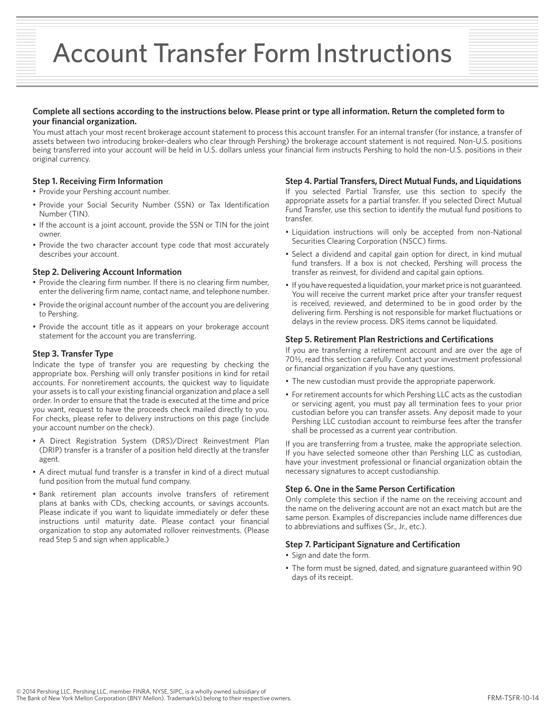# Account Transfer Form Instructions

#### **Complete all sections according to the instructions below. Please print or type all information. Return the completed form to your financial organization.**

You must attach your most recent brokerage account statement to process this account transfer. For an internal transfer (for instance, a transfer of assets between two introducing broker-dealers who clear through Pershing) the brokerage account statement is not required. Non-U.S. positions being transferred into your account will be held in U.S. dollars unless your financial firm instructs Pershing to hold the non-U.S. positions in their original currency.

#### **Step 1. Receiving Firm Information**

- Provide your Pershing account number.
- Provide your Social Security Number (SSN) or Tax Identification Number (TIN).
- If the account is a joint account, provide the SSN or TIN for the joint owner.
- Provide the two character account type code that most accurately describes your account.

#### **Step 2. Delivering Account Information**

- Provide the clearing firm number. If there is no clearing firm number, enter the delivering firm name, contact name, and telephone number.
- Provide the original account number of the account you are delivering to Pershing.
- Provide the account title as it appears on your brokerage account statement for the account you are transferring.

#### **Step 3. Transfer Type**

Indicate the type of transfer you are requesting by checking the appropriate box. Pershing will only transfer positions in kind for retail accounts. For nonretirement accounts, the quickest way to liquidate your assets is to call your existing financial organization and place a sell order. In order to ensure that the trade is executed at the time and price you want, request to have the proceeds check mailed directly to you. For checks, please refer to delivery instructions on this page (include your account number on the check).

- A Direct Registration System (DRS)/Direct Reinvestment Plan (DRIP) transfer is a transfer of a position held directly at the transfer agent.
- A direct mutual fund transfer is a transfer in kind of a direct mutual fund position from the mutual fund company.
- Bank retirement plan accounts involve transfers of retirement plans at banks with CDs, checking accounts, or savings accounts. Please indicate if you want to liquidate immediately or defer these instructions until maturity date. Please contact your financial organization to stop any automated rollover reinvestments. (Please read Step 5 and sign when applicable.)

#### **Step 4. Partial Transfers, Direct Mutual Funds, and Liquidations**

If you selected Partial Transfer, use this section to specify the appropriate assets for a partial transfer. If you selected Direct Mutual Fund Transfer, use this section to identify the mutual fund positions to transfer.

- Liquidation instructions will only be accepted from non-National Securities Clearing Corporation (NSCC) firms.
- Select a dividend and capital gain option for direct, in kind mutual fund transfers. If a box is not checked, Pershing will process the transfer as reinvest, for dividend and capital gain options.
- If you have requested a liquidation, your market price is not guaranteed. You will receive the current market price after your transfer request is received, reviewed, and determined to be in good order by the delivering firm. Pershing is not responsible for market fluctuations or delays in the review process. DRS items cannot be liquidated.

#### **Step 5. Retirement Plan Restrictions and Certifications**

If you are transferring a retirement account and are over the age of 70½, read this section carefully. Contact your investment professional or financial organization if you have any questions.

- The new custodian must provide the appropriate paperwork.
- For retirement accounts for which Pershing LLC acts as the custodian or servicing agent, you must pay all termination fees to your prior custodian before you can transfer assets. Any deposit made to your Pershing LLC custodian account to reimburse fees after the transfer shall be processed as a current year contribution.

If you are transferring from a trustee, make the appropriate selection. If you have selected someone other than Pershing LLC as custodian, have your investment professional or financial organization obtain the necessary signatures to accept custodianship.

#### **Step 6. One in the Same Person Certification**

Only complete this section if the name on the receiving account and the name on the delivering account are not an exact match but are the same person. Examples of discrepancies include name differences due to abbreviations and suffixes (Sr., Jr., etc.).

#### **Step 7. Participant Signature and Certification**

- Sign and date the form.
- The form must be signed, dated, and signature guaranteed within 90 days of its receipt.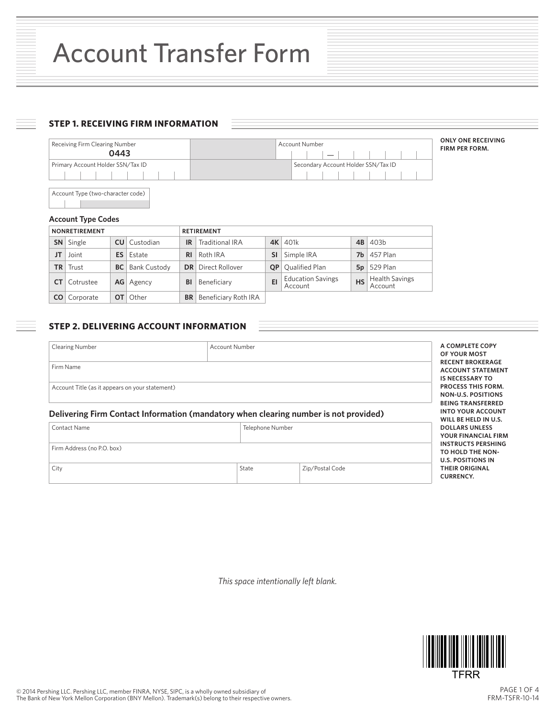# **STEP 1. RECEIVING FIRM INFORMATION**



Account Type (two-character code)

#### **Account Type Codes**

| <b>NONRETIREMENT</b> |                       |           |                     | <b>RETIREMENT</b> |                                  |           |                                     |           |                           |
|----------------------|-----------------------|-----------|---------------------|-------------------|----------------------------------|-----------|-------------------------------------|-----------|---------------------------|
|                      | <b>SN</b> Single      |           | <b>CU</b> Custodian | IR                | <b>Traditional IRA</b>           |           | <b>4K</b> 401k                      | 4B        | 403 <sub>b</sub>          |
| JT                   | Joint                 | ES I      | Estate              | RI                | Roth IRA                         | SI.       | Simple IRA                          | 7b        | 457 Plan                  |
|                      | $TR$ Trust            | <b>BC</b> | <b>Bank Custody</b> |                   | <b>DR</b> Direct Rollover        | <b>OP</b> | Qualified Plan                      |           | $5p$   529 Plan           |
|                      | Cotrustee             |           | AG   Agency         | BI                | Beneficiary                      | EI        | <b>Education Savings</b><br>Account | <b>HS</b> | Health Savings<br>Account |
|                      | <b>CO</b>   Corporate | OT I      | Other               |                   | <b>BR</b>   Beneficiary Roth IRA |           |                                     |           |                           |

# **STEP 2. DELIVERING ACCOUNT INFORMATION**

| <b>Clearing Number</b>                                                                               | Account Number   |  |                                                                                    |
|------------------------------------------------------------------------------------------------------|------------------|--|------------------------------------------------------------------------------------|
| Firm Name                                                                                            |                  |  | <b>RECENT BROKERAGE</b><br><b>ACCOUNT STATEMENT</b><br><b>IS NECESSARY TO</b>      |
| Account Title (as it appears on your statement)                                                      |                  |  | <b>PROCESS THIS FORM.</b><br><b>NON-U.S. POSITIONS</b><br><b>BEING TRANSFERRED</b> |
|                                                                                                      |                  |  |                                                                                    |
|                                                                                                      |                  |  | <b>INTO YOUR ACCOUNT</b><br>WILL BE HELD IN U.S.                                   |
| Delivering Firm Contact Information (mandatory when clearing number is not provided)<br>Contact Name | Telephone Number |  | <b>DOLLARS UNLESS</b><br>YOUR FINANCIAL FIRM                                       |
| Firm Address (no P.O. box)                                                                           |                  |  | <b>INSTRUCTS PERSHING</b><br>TO HOLD THE NON-<br><b>U.S. POSITIONS IN</b>          |

*This space intentionally left blank.*



PAGE 1 OF 4 FRM-TSFR-10-14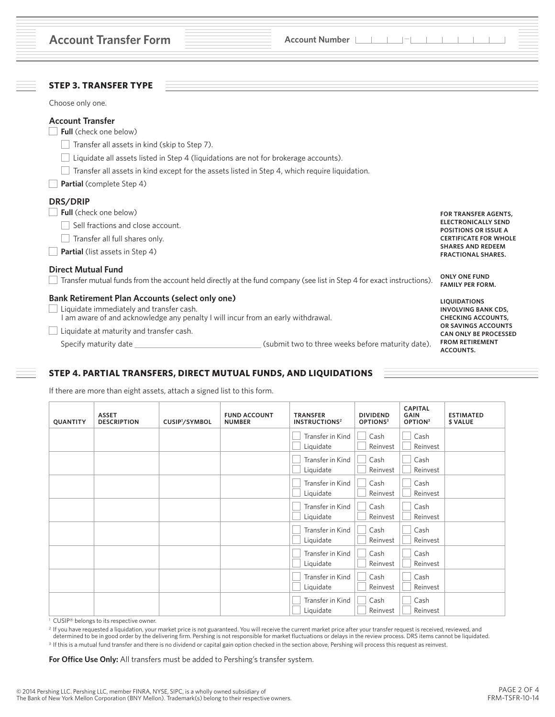| <b>Account Transfer Form</b>                                                                                                                                                                                                                                                                                                     | <b>Account Number</b>                                                                                                 |                                                                                                                                                                                   |
|----------------------------------------------------------------------------------------------------------------------------------------------------------------------------------------------------------------------------------------------------------------------------------------------------------------------------------|-----------------------------------------------------------------------------------------------------------------------|-----------------------------------------------------------------------------------------------------------------------------------------------------------------------------------|
| <b>STEP 3. TRANSFER TYPE</b>                                                                                                                                                                                                                                                                                                     |                                                                                                                       |                                                                                                                                                                                   |
| Choose only one.                                                                                                                                                                                                                                                                                                                 |                                                                                                                       |                                                                                                                                                                                   |
| <b>Account Transfer</b><br><b>Full</b> (check one below)<br>Transfer all assets in kind (skip to Step 7).<br>Liquidate all assets listed in Step 4 (liquidations are not for brokerage accounts).<br>Transfer all assets in kind except for the assets listed in Step 4, which require liquidation.<br>Partial (complete Step 4) |                                                                                                                       |                                                                                                                                                                                   |
| DRS/DRIP                                                                                                                                                                                                                                                                                                                         |                                                                                                                       |                                                                                                                                                                                   |
| <b>Full</b> (check one below)<br>Sell fractions and close account.<br>Transfer all full shares only.<br><b>Partial</b> (list assets in Step 4)                                                                                                                                                                                   |                                                                                                                       | <b>FOR TRANSFER AGENTS,</b><br><b>ELECTRONICALLY SEND</b><br><b>POSITIONS OR ISSUE A</b><br><b>CERTIFICATE FOR WHOLE</b><br><b>SHARES AND REDEEM</b><br><b>FRACTIONAL SHARES.</b> |
| <b>Direct Mutual Fund</b>                                                                                                                                                                                                                                                                                                        | Transfer mutual funds from the account held directly at the fund company (see list in Step 4 for exact instructions). | <b>ONLY ONE FUND</b><br><b>FAMILY PER FORM.</b>                                                                                                                                   |
| <b>Bank Retirement Plan Accounts (select only one)</b><br>Liquidate immediately and transfer cash.<br>I am aware of and acknowledge any penalty I will incur from an early withdrawal.                                                                                                                                           |                                                                                                                       | <b>LIQUIDATIONS</b><br><b>INVOLVING BANK CDS,</b><br><b>CHECKING ACCOUNTS.</b>                                                                                                    |
| Liquidate at maturity and transfer cash.<br>Specify maturity date                                                                                                                                                                                                                                                                | (submit two to three weeks before maturity date).                                                                     | OR SAVINGS ACCOUNTS<br><b>CAN ONLY BE PROCESSED</b><br><b>FROM RETIREMENT</b><br>ACCOUNTS.                                                                                        |

# **STEP 4. PARTIAL TRANSFERS, DIRECT MUTUAL FUNDS, AND LIQUIDATIONS**

If there are more than eight assets, attach a signed list to this form.

| QUANTITY | <b>ASSET</b><br><b>DESCRIPTION</b> | CUSIP <sup>1</sup> /SYMBOL | <b>FUND ACCOUNT</b><br><b>NUMBER</b> | <b>TRANSFER</b><br><b>INSTRUCTIONS<sup>2</sup></b> | <b>DIVIDEND</b><br>OPTIONS <sup>3</sup> | <b>CAPITAL</b><br><b>GAIN</b><br>OPTION <sup>3</sup> | <b>ESTIMATED</b><br>\$ VALUE |
|----------|------------------------------------|----------------------------|--------------------------------------|----------------------------------------------------|-----------------------------------------|------------------------------------------------------|------------------------------|
|          |                                    |                            |                                      | Transfer in Kind<br>Liquidate                      | Cash<br>Reinvest                        | Cash<br>Reinvest                                     |                              |
|          |                                    |                            |                                      | Transfer in Kind<br>Liquidate                      | Cash<br>Reinvest                        | Cash<br>Reinvest                                     |                              |
|          |                                    |                            |                                      | Transfer in Kind<br>Liquidate                      | Cash<br>Reinvest                        | Cash<br>Reinvest                                     |                              |
|          |                                    |                            |                                      | Transfer in Kind<br>Liquidate                      | Cash<br>Reinvest                        | Cash<br>Reinvest                                     |                              |
|          |                                    |                            |                                      | Transfer in Kind<br>Liquidate                      | Cash<br>Reinvest                        | Cash<br>Reinvest                                     |                              |
|          |                                    |                            |                                      | Transfer in Kind<br>Liquidate                      | Cash<br>Reinvest                        | Cash<br>Reinvest                                     |                              |
|          |                                    |                            |                                      | Transfer in Kind<br>Liquidate                      | Cash<br>Reinvest                        | Cash<br>Reinvest                                     |                              |
|          |                                    |                            |                                      | Transfer in Kind<br>Liquidate                      | Cash<br>Reinvest                        | Cash<br>Reinvest                                     |                              |

<sup>1</sup> CUSIP® belongs to its respective owner.

<sup>2</sup> If you have requested a liquidation, your market price is not guaranteed. You will receive the current market price after your transfer request is received, reviewed, and<br>determined to be in good order by the deliverin <sup>3</sup> If this is a mutual fund transfer and there is no dividend or capital gain option checked in the section above, Pershing will process this request as reinvest.

**For Office Use Only:** All transfers must be added to Pershing's transfer system.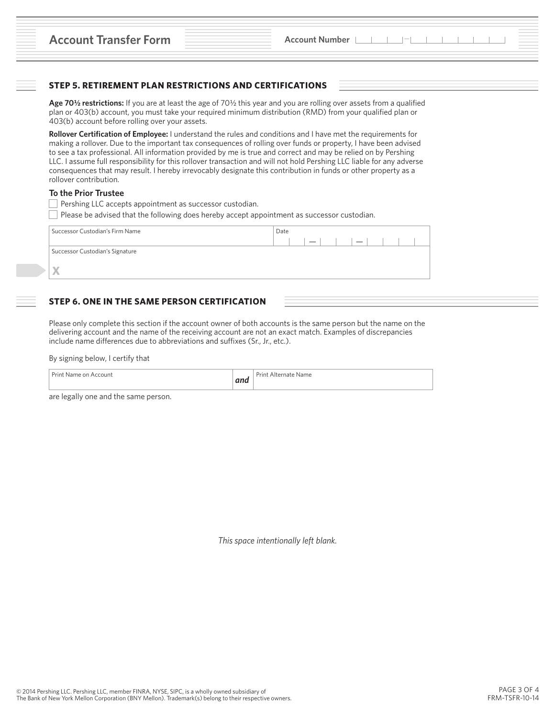# **STEP 5. RETIREMENT PLAN RESTRICTIONS AND CERTIFICATIONS**

**Age 70½ restrictions:** If you are at least the age of 70½ this year and you are rolling over assets from a qualified plan or 403(b) account, you must take your required minimum distribution (RMD) from your qualified plan or 403(b) account before rolling over your assets.

**Rollover Certification of Employee:** I understand the rules and conditions and I have met the requirements for making a rollover. Due to the important tax consequences of rolling over funds or property, I have been advised to see a tax professional. All information provided by me is true and correct and may be relied on by Pershing LLC. I assume full responsibility for this rollover transaction and will not hold Pershing LLC liable for any adverse consequences that may result. I hereby irrevocably designate this contribution in funds or other property as a rollover contribution.

## **To the Prior Trustee**

- **Pershing LLC accepts appointment as successor custodian.**
- Please be advised that the following does hereby accept appointment as successor custodian.

| Date      |
|-----------|
| $ - $ $ $ |
|           |
|           |
|           |
|           |

## **STEP 6. ONE IN THE SAME PERSON CERTIFICATION**

Please only complete this section if the account owner of both accounts is the same person but the name on the delivering account and the name of the receiving account are not an exact match. Examples of discrepancies include name differences due to abbreviations and suffixes (Sr., Jr., etc.).

By signing below, I certify that

| $\sim$ $\sim$<br>$\sim$<br>Print Name on<br>Account<br>$-1$<br><b>MIN</b> | Prin<br>Mame :<br>* Alternate i |
|---------------------------------------------------------------------------|---------------------------------|
|---------------------------------------------------------------------------|---------------------------------|

are legally one and the same person.

*This space intentionally left blank.*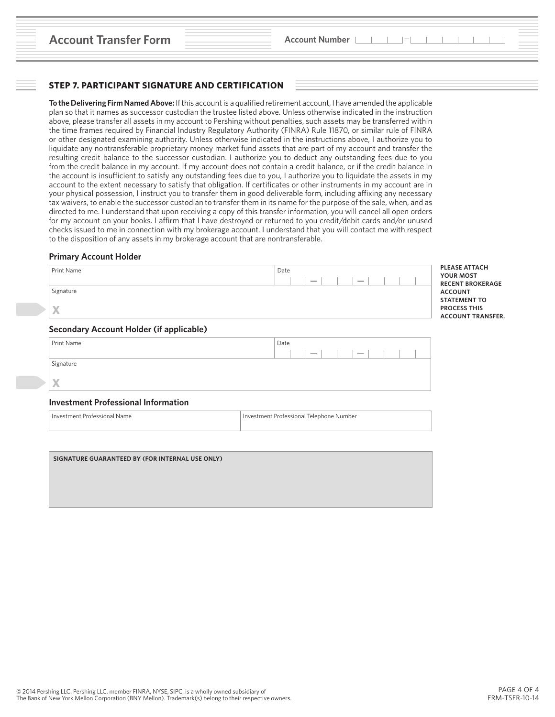## **STEP 7. PARTICIPANT SIGNATURE AND CERTIFICATION**

**To the Delivering Firm Named Above:** If this account is a qualified retirement account, I have amended the applicable plan so that it names as successor custodian the trustee listed above. Unless otherwise indicated in the instruction above, please transfer all assets in my account to Pershing without penalties, such assets may be transferred within the time frames required by Financial Industry Regulatory Authority (FINRA) Rule 11870, or similar rule of FINRA or other designated examining authority. Unless otherwise indicated in the instructions above, I authorize you to liquidate any nontransferable proprietary money market fund assets that are part of my account and transfer the resulting credit balance to the successor custodian. I authorize you to deduct any outstanding fees due to you from the credit balance in my account. If my account does not contain a credit balance, or if the credit balance in the account is insufficient to satisfy any outstanding fees due to you, I authorize you to liquidate the assets in my account to the extent necessary to satisfy that obligation. If certificates or other instruments in my account are in your physical possession, I instruct you to transfer them in good deliverable form, including affixing any necessary tax waivers, to enable the successor custodian to transfer them in its name for the purpose of the sale, when, and as directed to me. I understand that upon receiving a copy of this transfer information, you will cancel all open orders for my account on your books. I affirm that I have destroyed or returned to you credit/debit cards and/or unused checks issued to me in connection with my brokerage account. I understand that you will contact me with respect to the disposition of any assets in my brokerage account that are nontransferable.

#### **Primary Account Holder**

| Print Name | Date<br>$\overline{\phantom{a}}$<br>$\overline{\phantom{m}}$ | <b>PLEASE ATTACH</b><br><b>YOUR MOST</b><br><b>RECENT BROKERAGE</b>    |
|------------|--------------------------------------------------------------|------------------------------------------------------------------------|
| Signature  |                                                              | <b>ACCOUNT</b>                                                         |
| X          |                                                              | <b>STATEMENT TO</b><br><b>PROCESS THIS</b><br><b>ACCOUNT TRANSFER.</b> |

#### **Secondary Account Holder (if applicable)**

| Print Name   | Date                                                 |
|--------------|------------------------------------------------------|
|              | $\overline{\phantom{0}}$<br>$\overline{\phantom{m}}$ |
| Signature    |                                                      |
|              |                                                      |
| $\mathbf{X}$ |                                                      |
|              |                                                      |

### **Investment Professional Information**

Investment Professional Name **Investment Professional Name** Investment Professional Telephone Number

**SIGNATURE GUARANTEED BY (FOR INTERNAL USE ONLY)**